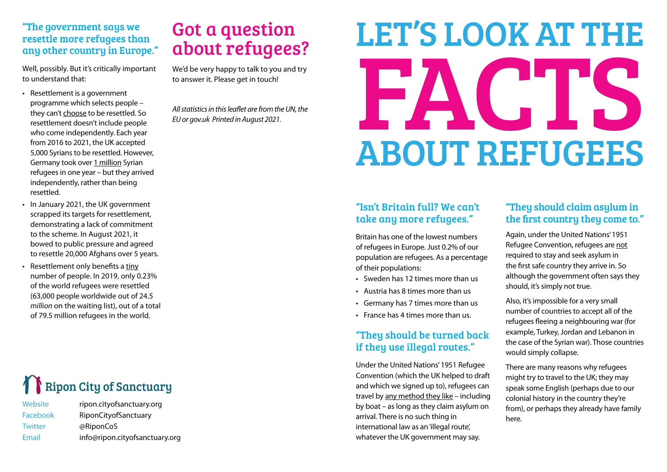#### "The government says we resettle more refugees than any other country in Europe."

Well, possibly. But it's critically important to understand that:

- Resettlement is a government programme which selects people – they can't choose to be resettled. So resettlement doesn't include people who come independently. Each year from 2016 to 2021, the UK accepted 5,000 Syrians to be resettled. However, Germany took over 1 million Syrian refugees in one year – but they arrived independently, rather than being resettled.
- In January 2021, the UK government scrapped its targets for resettlement, demonstrating a lack of commitment to the scheme. In August 2021, it bowed to public pressure and agreed to resettle 20,000 Afghans over 5 years.
- $\cdot$  Resettlement only benefits a tiny number of people. In 2019, only 0.23% of the world refugees were resettled (63,000 people worldwide out of 24.5 million on the waiting list), out of a total of 79.5 million refugees in the world.

## **Ripon City of Sanctuary**

Website ripon.cityofsanctuary.org Facebook RiponCityofSanctuary Twitter @RiponCoS Email info@ripon.cityofsanctuary.org

### Got a question about refugees?

We'd be very happy to talk to you and try to answer it. Please get in touch!

All statistics in this leaflet are from the UN, the EU or gov.uk Printed in August 2021.

# LET'S LOOK AT THEFACTS ABOUT REFUGEES

#### "Isn't Britain full? We can't take any more refugees."

Britain has one of the lowest numbers of refugees in Europe. Just 0.2% of our population are refugees. As a percentage of their populations:

- Sweden has 12 times more than us
- Austria has 8 times more than us
- Germany has 7 times more than us
- France has 4 times more than us.

#### "They should be turned back if they use illegal routes."

Under the United Nations' 1951 Refugee Convention (which the UK helped to draft and which we signed up to), refugees can travel by any method they like – including by boat – as long as they claim asylum on arrival. There is no such thing in international law as an 'illegal route', whatever the UK government may say.

#### "They should claim asylum in the first country they come to."

Again, under the United Nations' 1951 Refugee Convention, refugees are not required to stay and seek asylum in the first safe country they arrive in. So although the government often says they should, it's simply not true.

Also, it's impossible for a very small number of countries to accept all of the refugees fleeing a neighbouring war (for example, Turkey, Jordan and Lebanon in the case of the Syrian war). Those countries would simply collapse.

There are many reasons why refugees might try to travel to the UK; they may speak some English (perhaps due to our colonial history in the country they're from), or perhaps they already have family here.